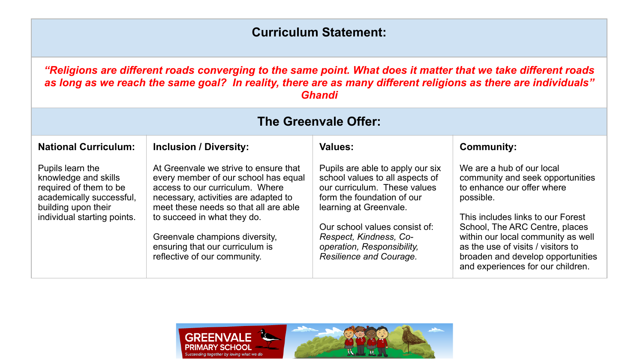## **Curriculum Statement:**

*"Religions are different roads converging to the same point. What does it matter that we take different roads as long as we reach the same goal? In reality, there are as many different religions as there are individuals" Ghandi*

| The Greenvale Offer:                                                                                                                                 |                                                                                                                                                                                                                                                                                                                                       |                                                                                                                                                                                                                                                                                 |                                                                                                                                                                                                                                                                                                                                       |  |
|------------------------------------------------------------------------------------------------------------------------------------------------------|---------------------------------------------------------------------------------------------------------------------------------------------------------------------------------------------------------------------------------------------------------------------------------------------------------------------------------------|---------------------------------------------------------------------------------------------------------------------------------------------------------------------------------------------------------------------------------------------------------------------------------|---------------------------------------------------------------------------------------------------------------------------------------------------------------------------------------------------------------------------------------------------------------------------------------------------------------------------------------|--|
| <b>National Curriculum:</b>                                                                                                                          | <b>Inclusion / Diversity:</b>                                                                                                                                                                                                                                                                                                         | Values:                                                                                                                                                                                                                                                                         | <b>Community:</b>                                                                                                                                                                                                                                                                                                                     |  |
| Pupils learn the<br>knowledge and skills<br>required of them to be<br>academically successful,<br>building upon their<br>individual starting points. | At Greenvale we strive to ensure that<br>every member of our school has equal<br>access to our curriculum. Where<br>necessary, activities are adapted to<br>meet these needs so that all are able<br>to succeed in what they do.<br>Greenvale champions diversity,<br>ensuring that our curriculum is<br>reflective of our community. | Pupils are able to apply our six<br>school values to all aspects of<br>our curriculum. These values<br>form the foundation of our<br>learning at Greenvale.<br>Our school values consist of:<br>Respect, Kindness, Co-<br>operation, Responsibility,<br>Resilience and Courage. | We are a hub of our local<br>community and seek opportunities<br>to enhance our offer where<br>possible.<br>This includes links to our Forest<br>School, The ARC Centre, places<br>within our local community as well<br>as the use of visits / visitors to<br>broaden and develop opportunities<br>and experiences for our children. |  |